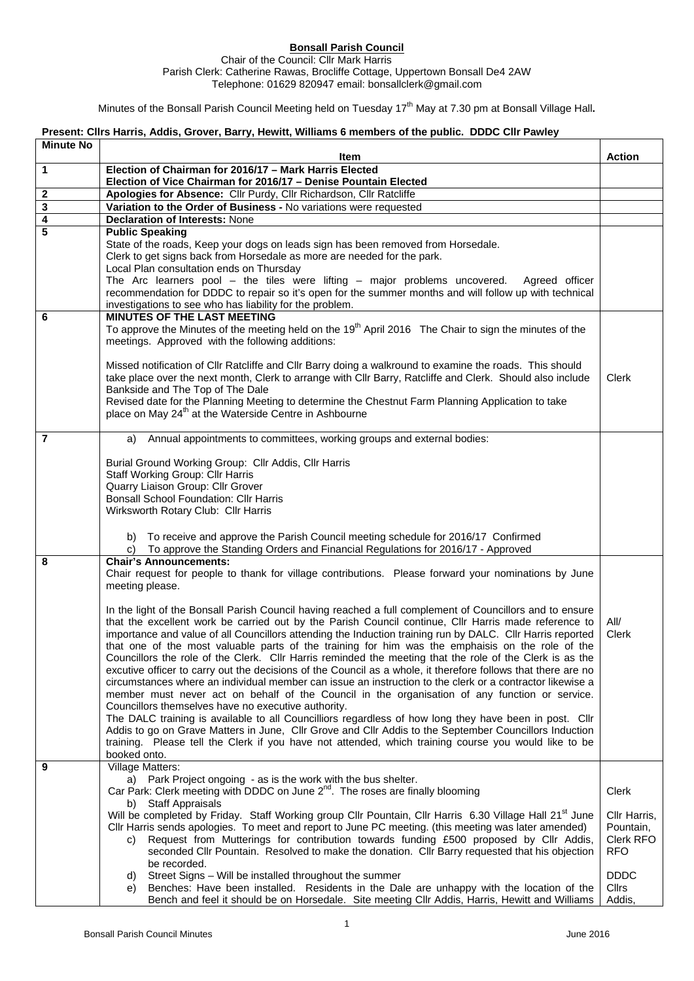## **Bonsall Parish Council**

## Chair of the Council: Cllr Mark Harris Parish Clerk: Catherine Rawas, Brocliffe Cottage, Uppertown Bonsall De4 2AW Telephone: 01629 820947 email: bonsallclerk@gmail.com

Minutes of the Bonsall Parish Council Meeting held on Tuesday 17<sup>th</sup> May at 7.30 pm at Bonsall Village Hall.

## **Present: Cllrs Harris, Addis, Grover, Barry, Hewitt, Williams 6 members of the public. DDDC Cllr Pawley**

| <b>Minute No</b> | Item                                                                                                                                                                                                             | <b>Action</b>               |
|------------------|------------------------------------------------------------------------------------------------------------------------------------------------------------------------------------------------------------------|-----------------------------|
| 1                | Election of Chairman for 2016/17 - Mark Harris Elected                                                                                                                                                           |                             |
|                  | Election of Vice Chairman for 2016/17 – Denise Pountain Elected                                                                                                                                                  |                             |
| $\mathbf{2}$     | Apologies for Absence: Cllr Purdy, Cllr Richardson, Cllr Ratcliffe                                                                                                                                               |                             |
| 3                | Variation to the Order of Business - No variations were requested                                                                                                                                                |                             |
| 4<br>5           | <b>Declaration of Interests: None</b><br><b>Public Speaking</b>                                                                                                                                                  |                             |
|                  | State of the roads, Keep your dogs on leads sign has been removed from Horsedale.                                                                                                                                |                             |
|                  | Clerk to get signs back from Horsedale as more are needed for the park.                                                                                                                                          |                             |
|                  | Local Plan consultation ends on Thursday                                                                                                                                                                         |                             |
|                  | The Arc learners pool - the tiles were lifting - major problems uncovered. Agreed officer                                                                                                                        |                             |
|                  | recommendation for DDDC to repair so it's open for the summer months and will follow up with technical                                                                                                           |                             |
|                  | investigations to see who has liability for the problem.                                                                                                                                                         |                             |
| 6                | <b>MINUTES OF THE LAST MEETING</b><br>To approve the Minutes of the meeting held on the 19 <sup>th</sup> April 2016 The Chair to sign the minutes of the                                                         |                             |
|                  | meetings. Approved with the following additions:                                                                                                                                                                 |                             |
|                  |                                                                                                                                                                                                                  |                             |
|                  | Missed notification of Cllr Ratcliffe and Cllr Barry doing a walkround to examine the roads. This should                                                                                                         |                             |
|                  | take place over the next month, Clerk to arrange with Cllr Barry, Ratcliffe and Clerk. Should also include                                                                                                       | Clerk                       |
|                  | Bankside and The Top of The Dale                                                                                                                                                                                 |                             |
|                  | Revised date for the Planning Meeting to determine the Chestnut Farm Planning Application to take<br>place on May 24 <sup>th</sup> at the Waterside Centre in Ashbourne                                          |                             |
|                  |                                                                                                                                                                                                                  |                             |
| $\overline{7}$   | a) Annual appointments to committees, working groups and external bodies:                                                                                                                                        |                             |
|                  |                                                                                                                                                                                                                  |                             |
|                  | Burial Ground Working Group: Cllr Addis, Cllr Harris                                                                                                                                                             |                             |
|                  | Staff Working Group: Cllr Harris<br>Quarry Liaison Group: Cllr Grover                                                                                                                                            |                             |
|                  | <b>Bonsall School Foundation: Cllr Harris</b>                                                                                                                                                                    |                             |
|                  | Wirksworth Rotary Club: Cllr Harris                                                                                                                                                                              |                             |
|                  |                                                                                                                                                                                                                  |                             |
|                  | b) To receive and approve the Parish Council meeting schedule for 2016/17 Confirmed                                                                                                                              |                             |
|                  | To approve the Standing Orders and Financial Regulations for 2016/17 - Approved                                                                                                                                  |                             |
| 8                | <b>Chair's Announcements:</b><br>Chair request for people to thank for village contributions. Please forward your nominations by June                                                                            |                             |
|                  | meeting please.                                                                                                                                                                                                  |                             |
|                  |                                                                                                                                                                                                                  |                             |
|                  | In the light of the Bonsall Parish Council having reached a full complement of Councillors and to ensure                                                                                                         |                             |
|                  | that the excellent work be carried out by the Parish Council continue, Cllr Harris made reference to                                                                                                             | All/                        |
|                  | importance and value of all Councillors attending the Induction training run by DALC. Cllr Harris reported                                                                                                       | Clerk                       |
|                  | that one of the most valuable parts of the training for him was the emphaisis on the role of the<br>Councillors the role of the Clerk. Cllr Harris reminded the meeting that the role of the Clerk is as the     |                             |
|                  | excutive officer to carry out the decisions of the Council as a whole, it therefore follows that there are no                                                                                                    |                             |
|                  | circumstances where an individual member can issue an instruction to the clerk or a contractor likewise a                                                                                                        |                             |
|                  | member must never act on behalf of the Council in the organisation of any function or service.                                                                                                                   |                             |
|                  | Councillors themselves have no executive authority.                                                                                                                                                              |                             |
|                  | The DALC training is available to all Councilliors regardless of how long they have been in post. Cllr<br>Addis to go on Grave Matters in June, Cllr Grove and Cllr Addis to the September Councillors Induction |                             |
|                  | training. Please tell the Clerk if you have not attended, which training course you would like to be                                                                                                             |                             |
|                  | booked onto.                                                                                                                                                                                                     |                             |
| 9                | <b>Village Matters:</b>                                                                                                                                                                                          |                             |
|                  | a) Park Project ongoing - as is the work with the bus shelter.                                                                                                                                                   |                             |
|                  | Car Park: Clerk meeting with DDDC on June 2 <sup>nd</sup> . The roses are finally blooming                                                                                                                       | Clerk                       |
|                  | b) Staff Appraisals<br>Will be completed by Friday. Staff Working group Cllr Pountain, Cllr Harris 6.30 Village Hall 21 <sup>st</sup> June                                                                       | Cllr Harris,                |
|                  | CIIr Harris sends apologies. To meet and report to June PC meeting. (this meeting was later amended)                                                                                                             | Pountain,                   |
|                  | Request from Mutterings for contribution towards funding £500 proposed by Cllr Addis,<br>C)                                                                                                                      | Clerk RFO                   |
|                  | seconded CIIr Pountain. Resolved to make the donation. CIIr Barry requested that his objection                                                                                                                   | RFO.                        |
|                  | be recorded.                                                                                                                                                                                                     |                             |
|                  | d) Street Signs - Will be installed throughout the summer<br>Benches: Have been installed. Residents in the Dale are unhappy with the location of the                                                            | <b>DDDC</b><br><b>Cllrs</b> |
|                  | e)<br>Bench and feel it should be on Horsedale. Site meeting Cllr Addis, Harris, Hewitt and Williams                                                                                                             | Addis,                      |